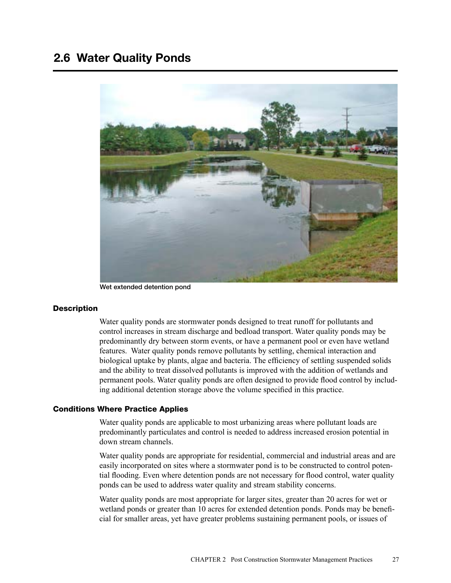# 2.6 Water Quality Ponds



Wet extended detention pond

#### **Description**

Water quality ponds are stormwater ponds designed to treat runoff for pollutants and control increases in stream discharge and bedload transport. Water quality ponds may be predominantly dry between storm events, or have a permanent pool or even have wetland features. Water quality ponds remove pollutants by settling, chemical interaction and biological uptake by plants, algae and bacteria. The efficiency of settling suspended solids and the ability to treat dissolved pollutants is improved with the addition of wetlands and permanent pools. Water quality ponds are often designed to provide flood control by including additional detention storage above the volume specified in this practice.

## Conditions Where Practice Applies

Water quality ponds are applicable to most urbanizing areas where pollutant loads are predominantly particulates and control is needed to address increased erosion potential in down stream channels.

Water quality ponds are appropriate for residential, commercial and industrial areas and are easily incorporated on sites where a stormwater pond is to be constructed to control potential flooding. Even where detention ponds are not necessary for flood control, water quality ponds can be used to address water quality and stream stability concerns.

Water quality ponds are most appropriate for larger sites, greater than 20 acres for wet or wetland ponds or greater than 10 acres for extended detention ponds. Ponds may be beneficial for smaller areas, yet have greater problems sustaining permanent pools, or issues of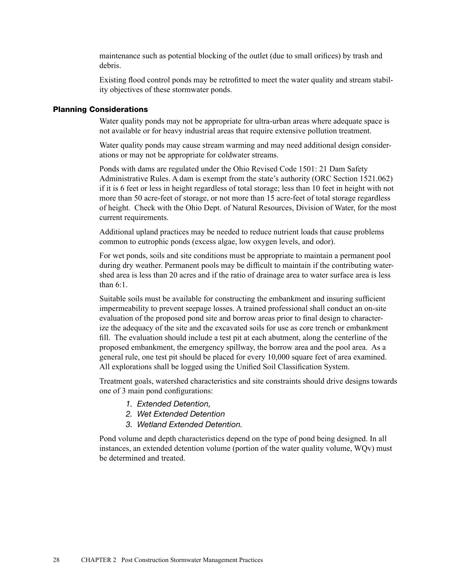maintenance such as potential blocking of the outlet (due to small orifices) by trash and debris.

Existing flood control ponds may be retrofitted to meet the water quality and stream stability objectives of these stormwater ponds.

## Planning Considerations

Water quality ponds may not be appropriate for ultra-urban areas where adequate space is not available or for heavy industrial areas that require extensive pollution treatment.

Water quality ponds may cause stream warming and may need additional design considerations or may not be appropriate for coldwater streams.

Ponds with dams are regulated under the Ohio Revised Code 1501: 21 Dam Safety Administrative Rules. A dam is exempt from the state's authority (ORC Section 1521.062) if it is 6 feet or less in height regardless of total storage; less than 10 feet in height with not more than 50 acre-feet of storage, or not more than 15 acre-feet of total storage regardless of height. Check with the Ohio Dept. of Natural Resources, Division of Water, for the most current requirements.

Additional upland practices may be needed to reduce nutrient loads that cause problems common to eutrophic ponds (excess algae, low oxygen levels, and odor).

For wet ponds, soils and site conditions must be appropriate to maintain a permanent pool during dry weather. Permanent pools may be difficult to maintain if the contributing watershed area is less than 20 acres and if the ratio of drainage area to water surface area is less than 6:1.

Suitable soils must be available for constructing the embankment and insuring sufficient impermeability to prevent seepage losses. A trained professional shall conduct an on-site evaluation of the proposed pond site and borrow areas prior to final design to characterize the adequacy of the site and the excavated soils for use as core trench or embankment fill. The evaluation should include a test pit at each abutment, along the centerline of the proposed embankment, the emergency spillway, the borrow area and the pool area. As a general rule, one test pit should be placed for every 10,000 square feet of area examined. All explorations shall be logged using the Unified Soil Classification System.

Treatment goals, watershed characteristics and site constraints should drive designs towards one of 3 main pond configurations:

- *1. Extended Detention,*
- *2. Wet Extended Detention*
- *3. Wetland Extended Detention.*

Pond volume and depth characteristics depend on the type of pond being designed. In all instances, an extended detention volume (portion of the water quality volume, WQv) must be determined and treated.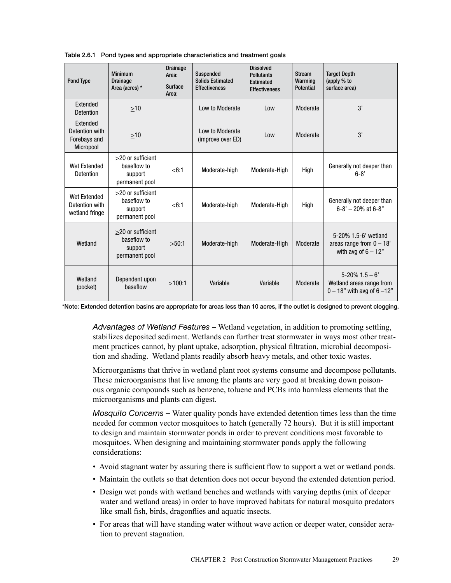| <b>Pond Type</b>                                        | <b>Minimum</b><br><b>Drainage</b><br>Area (acres) *           | <b>Drainage</b><br>Area:<br>Surface<br>Area: | <b>Suspended</b><br><b>Solids Estimated</b><br><b>Effectiveness</b> | <b>Dissolved</b><br><b>Pollutants</b><br><b>Estimated</b><br><b>Effectiveness</b> | <b>Stream</b><br>Warming<br><b>Potential</b> | <b>Target Depth</b><br>(apply % to<br>surface area)                             |
|---------------------------------------------------------|---------------------------------------------------------------|----------------------------------------------|---------------------------------------------------------------------|-----------------------------------------------------------------------------------|----------------------------------------------|---------------------------------------------------------------------------------|
| Extended<br>Detention                                   | >10                                                           |                                              | Low to Moderate                                                     | Low                                                                               | Moderate                                     | 3'                                                                              |
| Extended<br>Detention with<br>Forebays and<br>Micropool | $\geq 10$                                                     |                                              | Low to Moderate<br>(improve over ED)                                | Low                                                                               | Moderate                                     | 3'                                                                              |
| Wet Extended<br>Detention                               | >20 or sufficient<br>baseflow to<br>support<br>permanent pool | < 6:1                                        | Moderate-high                                                       | Moderate-High                                                                     | High                                         | Generally not deeper than<br>$6 - 8'$                                           |
| Wet Extended<br>Detention with<br>wetland fringe        | >20 or sufficient<br>baseflow to<br>support<br>permanent pool | < 6:1                                        | Moderate-high                                                       | Moderate-High                                                                     | High                                         | Generally not deeper than<br>$6 - 8' - 20\%$ at $6 - 8"$                        |
| Wetland                                                 | >20 or sufficient<br>baseflow to<br>support<br>permanent pool | >50:1                                        | Moderate-high                                                       | Moderate-High                                                                     | Moderate                                     | 5-20% 1.5-6' wetland<br>areas range from $0 - 18$ '<br>with avg of $6 - 12$ "   |
| Wetland<br>(pocket)                                     | Dependent upon<br>haseflow                                    | >100:1                                       | Variable                                                            | Variable                                                                          | Moderate                                     | $5 - 20\%$ 1.5 – 6'<br>Wetland areas range from<br>$0 - 18"$ with avg of 6 -12" |

Table 2.6.1 Pond types and appropriate characteristics and treatment goals

\*Note: Extended detention basins are appropriate for areas less than 10 acres, if the outlet is designed to prevent clogging.

*Advantages of Wetland Features –* Wetland vegetation, in addition to promoting settling, stabilizes deposited sediment. Wetlands can further treat stormwater in ways most other treatment practices cannot, by plant uptake, adsorption, physical filtration, microbial decomposition and shading. Wetland plants readily absorb heavy metals, and other toxic wastes.

Microorganisms that thrive in wetland plant root systems consume and decompose pollutants. These microorganisms that live among the plants are very good at breaking down poisonous organic compounds such as benzene, toluene and PCBs into harmless elements that the microorganisms and plants can digest.

*Mosquito Concerns –* Water quality ponds have extended detention times less than the time needed for common vector mosquitoes to hatch (generally 72 hours). But it is still important to design and maintain stormwater ponds in order to prevent conditions most favorable to mosquitoes. When designing and maintaining stormwater ponds apply the following considerations:

- Avoid stagnant water by assuring there is sufficient flow to support a wet or wetland ponds.
- Maintain the outlets so that detention does not occur beyond the extended detention period.
- Design wet ponds with wetland benches and wetlands with varying depths (mix of deeper water and wetland areas) in order to have improved habitats for natural mosquito predators like small fish, birds, dragonflies and aquatic insects.
- For areas that will have standing water without wave action or deeper water, consider aeration to prevent stagnation.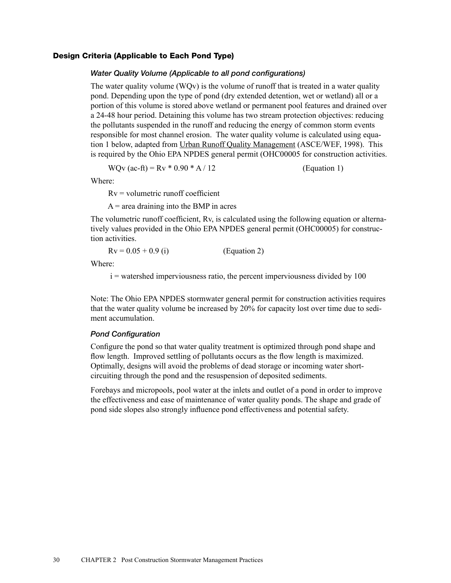#### Design Criteria (Applicable to Each Pond Type)

#### *Water Quality Volume (Applicable to all pond configurations)*

The water quality volume (WQv) is the volume of runoff that is treated in a water quality pond. Depending upon the type of pond (dry extended detention, wet or wetland) all or a portion of this volume is stored above wetland or permanent pool features and drained over a 24-48 hour period. Detaining this volume has two stream protection objectives: reducing the pollutants suspended in the runoff and reducing the energy of common storm events responsible for most channel erosion. The water quality volume is calculated using equation 1 below, adapted from Urban Runoff Quality Management (ASCE/WEF, 1998). This is required by the Ohio EPA NPDES general permit (OHC00005 for construction activities.

WQv (ac-ft) =  $Rv * 0.90 * A / 12$  (Equation 1)

Where:

 $Rv =$  volumetric runoff coefficient

 $A$  = area draining into the BMP in acres

The volumetric runoff coefficient, Rv, is calculated using the following equation or alternatively values provided in the Ohio EPA NPDES general permit (OHC00005) for construction activities.

 $Rv = 0.05 + 0.9$  (i) (Equation 2)

Where:

i = watershed imperviousness ratio, the percent imperviousness divided by 100

Note: The Ohio EPA NPDES stormwater general permit for construction activities requires that the water quality volume be increased by 20% for capacity lost over time due to sediment accumulation.

#### *Pond Configuration*

Configure the pond so that water quality treatment is optimized through pond shape and flow length. Improved settling of pollutants occurs as the flow length is maximized. Optimally, designs will avoid the problems of dead storage or incoming water shortcircuiting through the pond and the resuspension of deposited sediments.

Forebays and micropools, pool water at the inlets and outlet of a pond in order to improve the effectiveness and ease of maintenance of water quality ponds. The shape and grade of pond side slopes also strongly influence pond effectiveness and potential safety.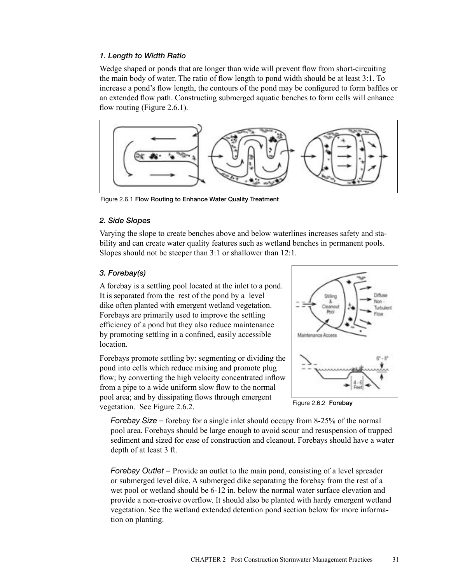# *1. Length to Width Ratio*

Wedge shaped or ponds that are longer than wide will prevent flow from short-circuiting the main body of water. The ratio of flow length to pond width should be at least 3:1. To increase a pond's flow length, the contours of the pond may be configured to form baffles or an extended flow path. Constructing submerged aquatic benches to form cells will enhance flow routing (Figure 2.6.1).



Figure 2.6.1 Flow Routing to Enhance Water Quality Treatment

## *2. Side Slopes*

Varying the slope to create benches above and below waterlines increases safety and stability and can create water quality features such as wetland benches in permanent pools. Slopes should not be steeper than 3:1 or shallower than 12:1.

# *3. Forebay(s)*

A forebay is a settling pool located at the inlet to a pond. It is separated from the rest of the pond by a level dike often planted with emergent wetland vegetation. Forebays are primarily used to improve the settling efficiency of a pond but they also reduce maintenance by promoting settling in a confined, easily accessible location.

Forebays promote settling by: segmenting or dividing the pond into cells which reduce mixing and promote plug flow; by converting the high velocity concentrated inflow from a pipe to a wide uniform slow flow to the normal pool area; and by dissipating flows through emergent vegetation. See Figure 2.6.2.



Figure 2.6.2 Forebay

*Forebay Size –* forebay for a single inlet should occupy from 8-25% of the normal pool area. Forebays should be large enough to avoid scour and resuspension of trapped sediment and sized for ease of construction and cleanout. Forebays should have a water depth of at least 3 ft.

*Forebay Outlet – Provide an outlet to the main pond, consisting of a level spreader* or submerged level dike. A submerged dike separating the forebay from the rest of a wet pool or wetland should be 6-12 in. below the normal water surface elevation and provide a non-erosive overflow. It should also be planted with hardy emergent wetland vegetation. See the wetland extended detention pond section below for more information on planting.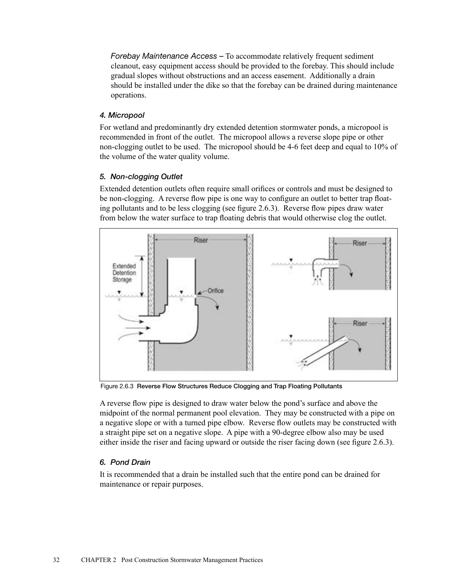*Forebay Maintenance Access –* To accommodate relatively frequent sediment cleanout, easy equipment access should be provided to the forebay. This should include gradual slopes without obstructions and an access easement. Additionally a drain should be installed under the dike so that the forebay can be drained during maintenance operations.

# *4. Micropool*

For wetland and predominantly dry extended detention stormwater ponds, a micropool is recommended in front of the outlet. The micropool allows a reverse slope pipe or other non-clogging outlet to be used. The micropool should be 4-6 feet deep and equal to 10% of the volume of the water quality volume.

# *5. Non-clogging Outlet*

Extended detention outlets often require small orifices or controls and must be designed to be non-clogging. A reverse flow pipe is one way to configure an outlet to better trap floating pollutants and to be less clogging (see figure 2.6.3). Reverse flow pipes draw water from below the water surface to trap floating debris that would otherwise clog the outlet.



Figure 2.6.3 Reverse Flow Structures Reduce Clogging and Trap Floating Pollutants

A reverse flow pipe is designed to draw water below the pond's surface and above the midpoint of the normal permanent pool elevation. They may be constructed with a pipe on a negative slope or with a turned pipe elbow. Reverse flow outlets may be constructed with a straight pipe set on a negative slope. A pipe with a 90-degree elbow also may be used either inside the riser and facing upward or outside the riser facing down (see figure 2.6.3).

# *6. Pond Drain*

It is recommended that a drain be installed such that the entire pond can be drained for maintenance or repair purposes.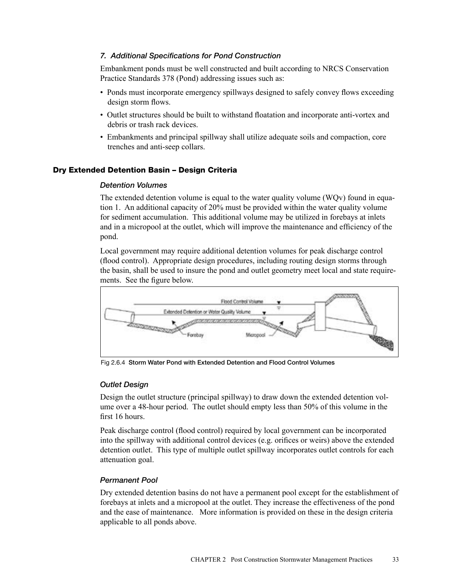## *7. Additional Specifications for Pond Construction*

Embankment ponds must be well constructed and built according to NRCS Conservation Practice Standards 378 (Pond) addressing issues such as:

- Ponds must incorporate emergency spillways designed to safely convey flows exceeding design storm flows.
- Outlet structures should be built to withstand floatation and incorporate anti-vortex and debris or trash rack devices.
- Embankments and principal spillway shall utilize adequate soils and compaction, core trenches and anti-seep collars.

# Dry Extended Detention Basin – Design Criteria

#### *Detention Volumes*

The extended detention volume is equal to the water quality volume (WQv) found in equation 1. An additional capacity of 20% must be provided within the water quality volume for sediment accumulation. This additional volume may be utilized in forebays at inlets and in a micropool at the outlet, which will improve the maintenance and efficiency of the pond.

Local government may require additional detention volumes for peak discharge control (flood control). Appropriate design procedures, including routing design storms through the basin, shall be used to insure the pond and outlet geometry meet local and state requirements. See the figure below.



Fig 2.6.4 Storm Water Pond with Extended Detention and Flood Control Volumes

# *Outlet Design*

Design the outlet structure (principal spillway) to draw down the extended detention volume over a 48-hour period. The outlet should empty less than 50% of this volume in the first 16 hours.

Peak discharge control (flood control) required by local government can be incorporated into the spillway with additional control devices (e.g. orifices or weirs) above the extended detention outlet. This type of multiple outlet spillway incorporates outlet controls for each attenuation goal.

# *Permanent Pool*

Dry extended detention basins do not have a permanent pool except for the establishment of forebays at inlets and a micropool at the outlet. They increase the effectiveness of the pond and the ease of maintenance. More information is provided on these in the design criteria applicable to all ponds above.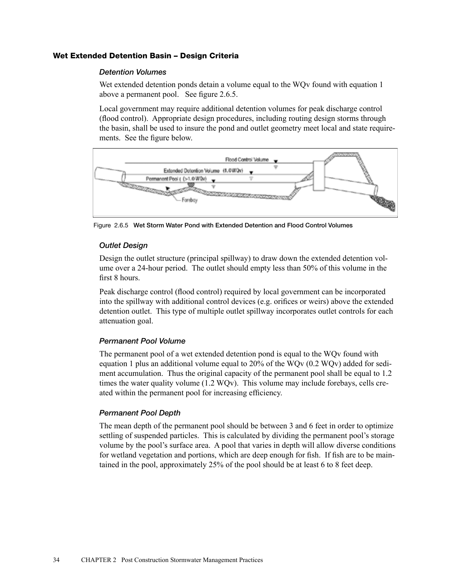## Wet Extended Detention Basin – Design Criteria

#### *Detention Volumes*

Wet extended detention ponds detain a volume equal to the WQv found with equation 1 above a permanent pool. See figure 2.6.5.

Local government may require additional detention volumes for peak discharge control (flood control). Appropriate design procedures, including routing design storms through the basin, shall be used to insure the pond and outlet geometry meet local and state requirements. See the figure below.



Figure 2.6.5 Wet Storm Water Pond with Extended Detention and Flood Control Volumes

#### *Outlet Design*

Design the outlet structure (principal spillway) to draw down the extended detention volume over a 24-hour period. The outlet should empty less than 50% of this volume in the first 8 hours.

Peak discharge control (flood control) required by local government can be incorporated into the spillway with additional control devices (e.g. orifices or weirs) above the extended detention outlet. This type of multiple outlet spillway incorporates outlet controls for each attenuation goal.

#### *Permanent Pool Volume*

The permanent pool of a wet extended detention pond is equal to the WQv found with equation 1 plus an additional volume equal to 20% of the WQv (0.2 WQv) added for sediment accumulation. Thus the original capacity of the permanent pool shall be equal to 1.2 times the water quality volume (1.2 WQv). This volume may include forebays, cells created within the permanent pool for increasing efficiency.

# *Permanent Pool Depth*

The mean depth of the permanent pool should be between 3 and 6 feet in order to optimize settling of suspended particles. This is calculated by dividing the permanent pool's storage volume by the pool's surface area. A pool that varies in depth will allow diverse conditions for wetland vegetation and portions, which are deep enough for fish. If fish are to be maintained in the pool, approximately 25% of the pool should be at least 6 to 8 feet deep.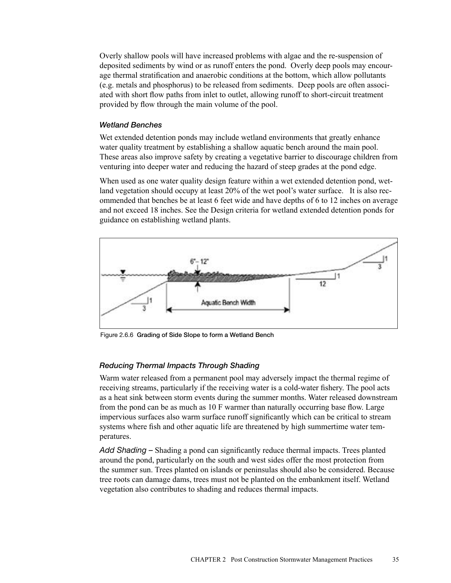Overly shallow pools will have increased problems with algae and the re-suspension of deposited sediments by wind or as runoff enters the pond. Overly deep pools may encourage thermal stratification and anaerobic conditions at the bottom, which allow pollutants (e.g. metals and phosphorus) to be released from sediments. Deep pools are often associated with short flow paths from inlet to outlet, allowing runoff to short-circuit treatment provided by flow through the main volume of the pool.

## *Wetland Benches*

Wet extended detention ponds may include wetland environments that greatly enhance water quality treatment by establishing a shallow aquatic bench around the main pool. These areas also improve safety by creating a vegetative barrier to discourage children from venturing into deeper water and reducing the hazard of steep grades at the pond edge.

When used as one water quality design feature within a wet extended detention pond, wetland vegetation should occupy at least 20% of the wet pool's water surface. It is also recommended that benches be at least 6 feet wide and have depths of 6 to 12 inches on average and not exceed 18 inches. See the Design criteria for wetland extended detention ponds for guidance on establishing wetland plants.



Figure 2.6.6 Grading of Side Slope to form a Wetland Bench

# *Reducing Thermal Impacts Through Shading*

Warm water released from a permanent pool may adversely impact the thermal regime of receiving streams, particularly if the receiving water is a cold-water fishery. The pool acts as a heat sink between storm events during the summer months. Water released downstream from the pond can be as much as 10 F warmer than naturally occurring base flow. Large impervious surfaces also warm surface runoff significantly which can be critical to stream systems where fish and other aquatic life are threatened by high summertime water temperatures.

*Add Shading –* Shading a pond can significantly reduce thermal impacts. Trees planted around the pond, particularly on the south and west sides offer the most protection from the summer sun. Trees planted on islands or peninsulas should also be considered. Because tree roots can damage dams, trees must not be planted on the embankment itself. Wetland vegetation also contributes to shading and reduces thermal impacts.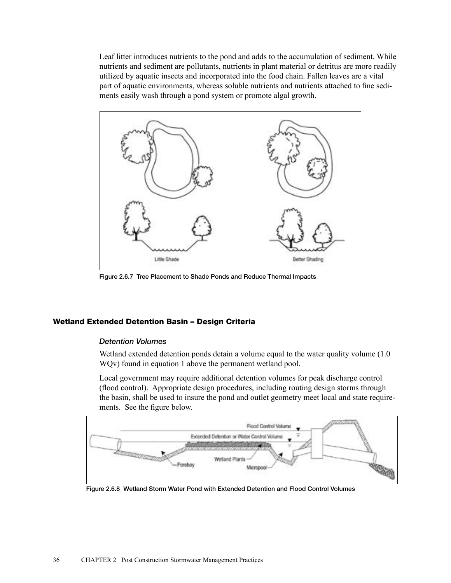Leaf litter introduces nutrients to the pond and adds to the accumulation of sediment. While nutrients and sediment are pollutants, nutrients in plant material or detritus are more readily utilized by aquatic insects and incorporated into the food chain. Fallen leaves are a vital part of aquatic environments, whereas soluble nutrients and nutrients attached to fine sediments easily wash through a pond system or promote algal growth.



Figure 2.6.7 Tree Placement to Shade Ponds and Reduce Thermal Impacts

# Wetland Extended Detention Basin – Design Criteria

# *Detention Volumes*

Wetland extended detention ponds detain a volume equal to the water quality volume (1.0 WQv) found in equation 1 above the permanent wetland pool.

Local government may require additional detention volumes for peak discharge control (flood control). Appropriate design procedures, including routing design storms through the basin, shall be used to insure the pond and outlet geometry meet local and state requirements. See the figure below.



Figure 2.6.8 Wetland Storm Water Pond with Extended Detention and Flood Control Volumes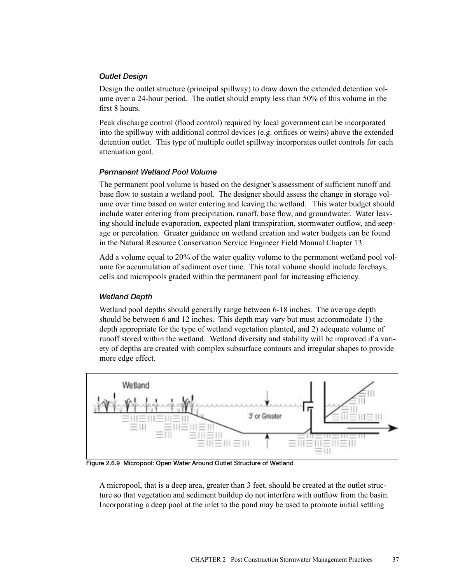## *Outlet Design*

Design the outlet structure (principal spillway) to draw down the extended detention volume over a 24-hour period. The outlet should empty less than 50% of this volume in the first 8 hours.

Peak discharge control (flood control) required by local government can be incorporated into the spillway with additional control devices (e.g. orifices or weirs) above the extended detention outlet. This type of multiple outlet spillway incorporates outlet controls for each attenuation goal.

# *Permanent Wetland Pool Volume*

The permanent pool volume is based on the designer's assessment of sufficient runoff and base flow to sustain a wetland pool. The designer should assess the change in storage volume over time based on water entering and leaving the wetland. This water budget should include water entering from precipitation, runoff, base flow, and groundwater. Water leaving should include evaporation, expected plant transpiration, stormwater outflow, and seepage or percolation. Greater guidance on wetland creation and water budgets can be found in the Natural Resource Conservation Service Engineer Field Manual Chapter 13.

Add a volume equal to 20% of the water quality volume to the permanent wetland pool volume for accumulation of sediment over time. This total volume should include forebays, cells and micropools graded within the permanent pool for increasing efficiency.

#### *Wetland Depth*

Wetland pool depths should generally range between 6-18 inches. The average depth should be between 6 and 12 inches. This depth may vary but must accommodate 1) the depth appropriate for the type of wetland vegetation planted, and 2) adequate volume of runoff stored within the wetland. Wetland diversity and stability will be improved if a variety of depths are created with complex subsurface contours and irregular shapes to provide more edge effect.



Figure 2.6.9 Micropool: Open Water Around Outlet Structure of Wetland

A micropool, that is a deep area, greater than 3 feet, should be created at the outlet structure so that vegetation and sediment buildup do not interfere with outflow from the basin. Incorporating a deep pool at the inlet to the pond may be used to promote initial settling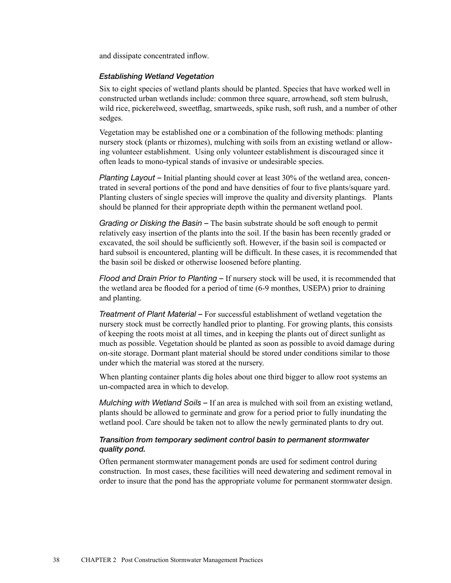and dissipate concentrated inflow.

#### *Establishing Wetland Vegetation*

Six to eight species of wetland plants should be planted. Species that have worked well in constructed urban wetlands include: common three square, arrowhead, soft stem bulrush, wild rice, pickerelweed, sweetflag, smartweeds, spike rush, soft rush, and a number of other sedges.

Vegetation may be established one or a combination of the following methods: planting nursery stock (plants or rhizomes), mulching with soils from an existing wetland or allowing volunteer establishment. Using only volunteer establishment is discouraged since it often leads to mono-typical stands of invasive or undesirable species.

*Planting Layout –* Initial planting should cover at least 30% of the wetland area, concentrated in several portions of the pond and have densities of four to five plants/square yard. Planting clusters of single species will improve the quality and diversity plantings. Plants should be planned for their appropriate depth within the permanent wetland pool.

*Grading or Disking the Basin –* The basin substrate should be soft enough to permit relatively easy insertion of the plants into the soil. If the basin has been recently graded or excavated, the soil should be sufficiently soft. However, if the basin soil is compacted or hard subsoil is encountered, planting will be difficult. In these cases, it is recommended that the basin soil be disked or otherwise loosened before planting.

*Flood and Drain Prior to Planting –* If nursery stock will be used, it is recommended that the wetland area be flooded for a period of time (6-9 monthes, USEPA) prior to draining and planting.

*Treatment of Plant Material –* For successful establishment of wetland vegetation the nursery stock must be correctly handled prior to planting. For growing plants, this consists of keeping the roots moist at all times, and in keeping the plants out of direct sunlight as much as possible. Vegetation should be planted as soon as possible to avoid damage during on-site storage. Dormant plant material should be stored under conditions similar to those under which the material was stored at the nursery.

When planting container plants dig holes about one third bigger to allow root systems an un-compacted area in which to develop.

*Mulching with Wetland Soils –* If an area is mulched with soil from an existing wetland, plants should be allowed to germinate and grow for a period prior to fully inundating the wetland pool. Care should be taken not to allow the newly germinated plants to dry out.

# *Transition from temporary sediment control basin to permanent stormwater quality pond.*

Often permanent stormwater management ponds are used for sediment control during construction. In most cases, these facilities will need dewatering and sediment removal in order to insure that the pond has the appropriate volume for permanent stormwater design.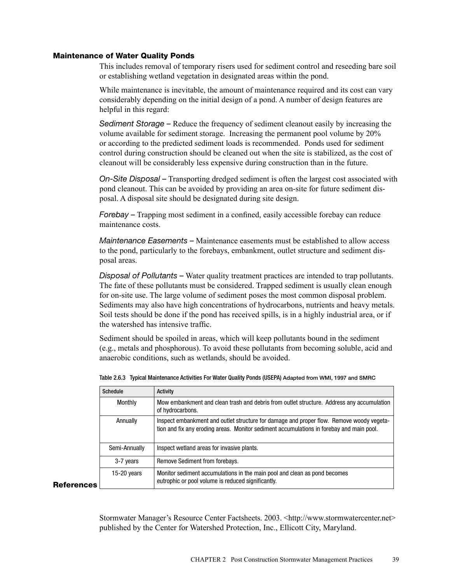#### Maintenance of Water Quality Ponds

This includes removal of temporary risers used for sediment control and reseeding bare soil or establishing wetland vegetation in designated areas within the pond.

While maintenance is inevitable, the amount of maintenance required and its cost can vary considerably depending on the initial design of a pond. A number of design features are helpful in this regard:

*Sediment Storage –* Reduce the frequency of sediment cleanout easily by increasing the volume available for sediment storage. Increasing the permanent pool volume by 20% or according to the predicted sediment loads is recommended. Ponds used for sediment control during construction should be cleaned out when the site is stabilized, as the cost of cleanout will be considerably less expensive during construction than in the future.

*On-Site Disposal –* Transporting dredged sediment is often the largest cost associated with pond cleanout. This can be avoided by providing an area on-site for future sediment disposal. A disposal site should be designated during site design.

*Forebay –* Trapping most sediment in a confined, easily accessible forebay can reduce maintenance costs.

*Maintenance Easements –* Maintenance easements must be established to allow access to the pond, particularly to the forebays, embankment, outlet structure and sediment disposal areas.

*Disposal of Pollutants –* Water quality treatment practices are intended to trap pollutants. The fate of these pollutants must be considered. Trapped sediment is usually clean enough for on-site use. The large volume of sediment poses the most common disposal problem. Sediments may also have high concentrations of hydrocarbons, nutrients and heavy metals. Soil tests should be done if the pond has received spills, is in a highly industrial area, or if the watershed has intensive traffic.

Sediment should be spoiled in areas, which will keep pollutants bound in the sediment (e.g., metals and phosphorous). To avoid these pollutants from becoming soluble, acid and anaerobic conditions, such as wetlands, should be avoided.

|   | <b>Schedule</b> | Activity                                                                                                                                                                             |  |
|---|-----------------|--------------------------------------------------------------------------------------------------------------------------------------------------------------------------------------|--|
|   | Monthly         | Mow embankment and clean trash and debris from outlet structure. Address any accumulation<br>of hydrocarbons.                                                                        |  |
|   | Annually        | Inspect embankment and outlet structure for damage and proper flow. Remove woody vegeta-<br>tion and fix any eroding areas. Monitor sediment accumulations in forebay and main pool. |  |
|   | Semi-Annually   | Inspect wetland areas for invasive plants.                                                                                                                                           |  |
|   | 3-7 years       | Remove Sediment from forebays.                                                                                                                                                       |  |
| s | 15-20 $years$   | Monitor sediment accumulations in the main pool and clean as pond becomes<br>eutrophic or pool volume is reduced significantly.                                                      |  |

Table 2.6.3 Typical Maintenance Activities For Water Quality Ponds (USEPA) Adapted from WMI, 1997 and SMRC

**References** 

Stormwater Manager's Resource Center Factsheets. 2003. <http://www.stormwatercenter.net> published by the Center for Watershed Protection, Inc., Ellicott City, Maryland.